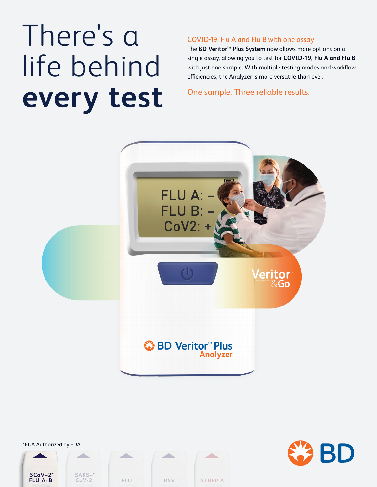# There's a life behind **every test**

# COVID-19, Flu A and Flu B with one assay

The **BD Veritor™ Plus System** now allows more options on a single assay, allowing you to test for **COVID-19, Flu A and Flu B** with just one sample. With multiple testing modes and workflow efficiencies, the Analyzer is more versatile than ever.

BD

One sample. Three reliable results.